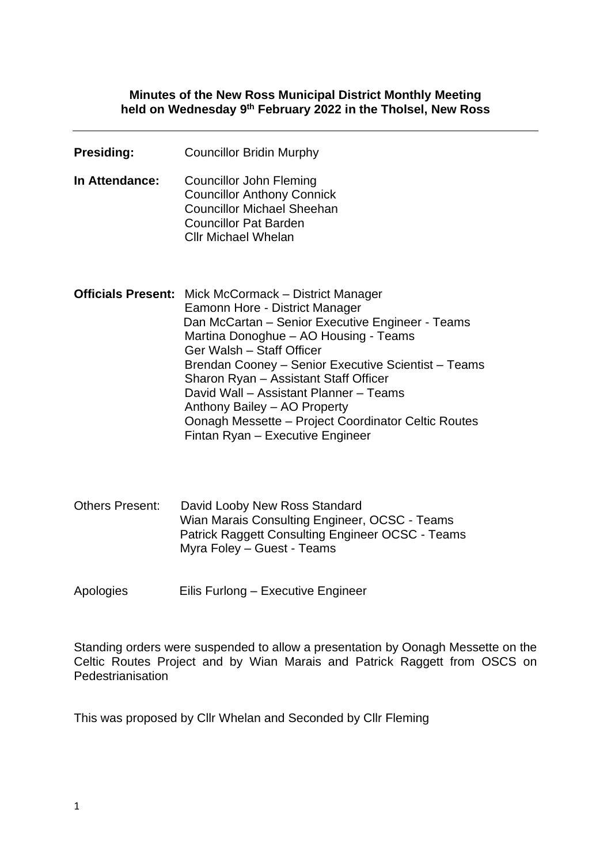#### **Minutes of the New Ross Municipal District Monthly Meeting held on Wednesday 9 th February 2022 in the Tholsel, New Ross**

| <b>Presiding:</b> | <b>Councillor Bridin Murphy</b>                                                                                                                                                                                                                                                                                                                                                                                                                                                              |
|-------------------|----------------------------------------------------------------------------------------------------------------------------------------------------------------------------------------------------------------------------------------------------------------------------------------------------------------------------------------------------------------------------------------------------------------------------------------------------------------------------------------------|
| In Attendance:    | <b>Councillor John Fleming</b><br><b>Councillor Anthony Connick</b><br><b>Councillor Michael Sheehan</b><br><b>Councillor Pat Barden</b><br><b>Cllr Michael Whelan</b>                                                                                                                                                                                                                                                                                                                       |
|                   | <b>Officials Present:</b> Mick McCormack – District Manager<br>Eamonn Hore - District Manager<br>Dan McCartan - Senior Executive Engineer - Teams<br>Martina Donoghue - AO Housing - Teams<br>Ger Walsh - Staff Officer<br>Brendan Cooney – Senior Executive Scientist – Teams<br>Sharon Ryan - Assistant Staff Officer<br>David Wall - Assistant Planner - Teams<br>Anthony Bailey - AO Property<br>Oonagh Messette - Project Coordinator Celtic Routes<br>Fintan Ryan - Executive Engineer |
|                   | Othors Prosont: David Loopy Now Poss Standard                                                                                                                                                                                                                                                                                                                                                                                                                                                |

Others Present: David Looby New Ross Standard Wian Marais Consulting Engineer, OCSC - Teams Patrick Raggett Consulting Engineer OCSC - Teams Myra Foley – Guest - Teams

Apologies Eilis Furlong – Executive Engineer

Standing orders were suspended to allow a presentation by Oonagh Messette on the Celtic Routes Project and by Wian Marais and Patrick Raggett from OSCS on **Pedestrianisation** 

This was proposed by Cllr Whelan and Seconded by Cllr Fleming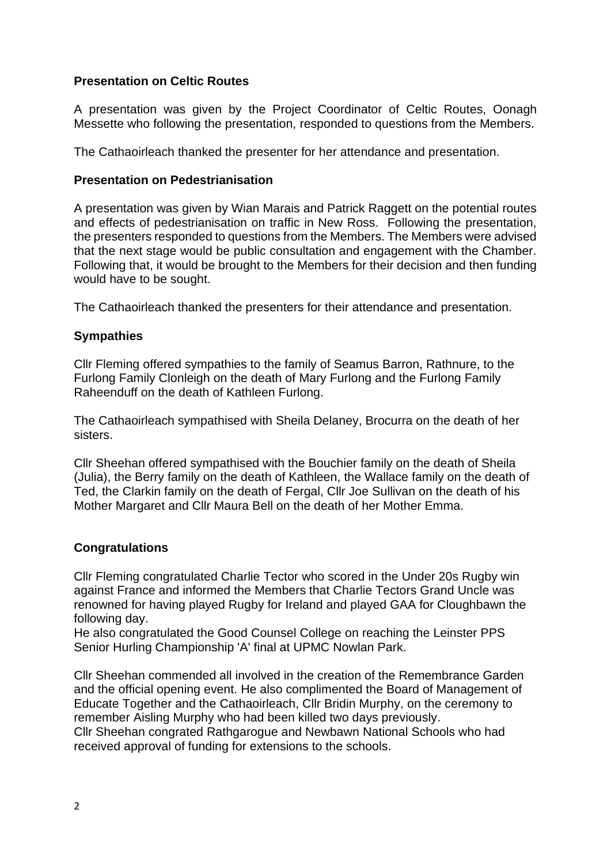# **Presentation on Celtic Routes**

A presentation was given by the Project Coordinator of Celtic Routes, Oonagh Messette who following the presentation, responded to questions from the Members.

The Cathaoirleach thanked the presenter for her attendance and presentation.

#### **Presentation on Pedestrianisation**

A presentation was given by Wian Marais and Patrick Raggett on the potential routes and effects of pedestrianisation on traffic in New Ross. Following the presentation, the presenters responded to questions from the Members. The Members were advised that the next stage would be public consultation and engagement with the Chamber. Following that, it would be brought to the Members for their decision and then funding would have to be sought.

The Cathaoirleach thanked the presenters for their attendance and presentation.

#### **Sympathies**

Cllr Fleming offered sympathies to the family of Seamus Barron, Rathnure, to the Furlong Family Clonleigh on the death of Mary Furlong and the Furlong Family Raheenduff on the death of Kathleen Furlong.

The Cathaoirleach sympathised with Sheila Delaney, Brocurra on the death of her sisters.

Cllr Sheehan offered sympathised with the Bouchier family on the death of Sheila (Julia), the Berry family on the death of Kathleen, the Wallace family on the death of Ted, the Clarkin family on the death of Fergal, Cllr Joe Sullivan on the death of his Mother Margaret and Cllr Maura Bell on the death of her Mother Emma.

#### **Congratulations**

Cllr Fleming congratulated Charlie Tector who scored in the Under 20s Rugby win against France and informed the Members that Charlie Tectors Grand Uncle was renowned for having played Rugby for Ireland and played GAA for Cloughbawn the following day.

He also congratulated the Good Counsel College on reaching the Leinster PPS Senior Hurling Championship 'A' final at UPMC Nowlan Park.

Cllr Sheehan commended all involved in the creation of the Remembrance Garden and the official opening event. He also complimented the Board of Management of Educate Together and the Cathaoirleach, Cllr Bridin Murphy, on the ceremony to remember Aisling Murphy who had been killed two days previously. Cllr Sheehan congrated Rathgarogue and Newbawn National Schools who had received approval of funding for extensions to the schools.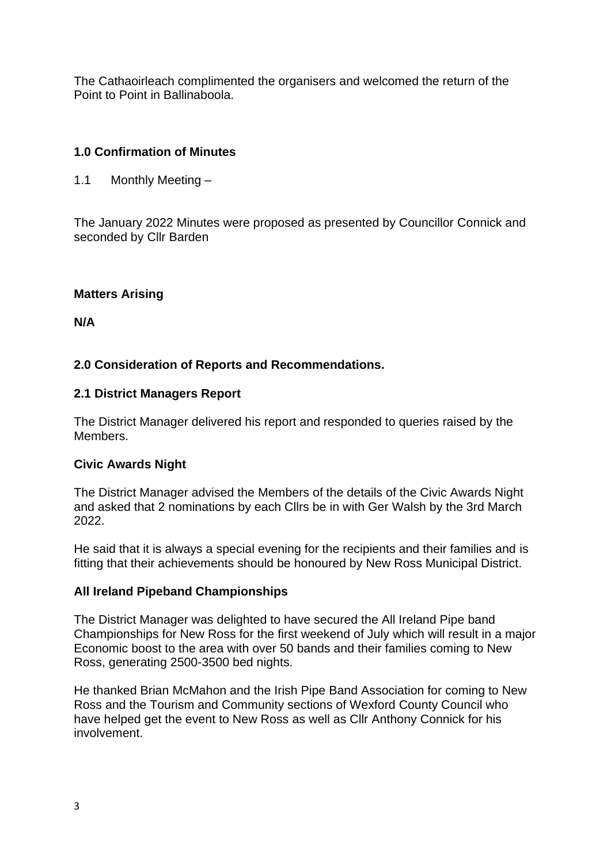The Cathaoirleach complimented the organisers and welcomed the return of the Point to Point in Ballinaboola.

# **1.0 Confirmation of Minutes**

1.1 Monthly Meeting –

The January 2022 Minutes were proposed as presented by Councillor Connick and seconded by Cllr Barden

# **Matters Arising**

**N/A**

# **2.0 Consideration of Reports and Recommendations.**

#### **2.1 District Managers Report**

The District Manager delivered his report and responded to queries raised by the Members.

# **Civic Awards Night**

The District Manager advised the Members of the details of the Civic Awards Night and asked that 2 nominations by each Cllrs be in with Ger Walsh by the 3rd March 2022.

He said that it is always a special evening for the recipients and their families and is fitting that their achievements should be honoured by New Ross Municipal District.

#### **All Ireland Pipeband Championships**

The District Manager was delighted to have secured the All Ireland Pipe band Championships for New Ross for the first weekend of July which will result in a major Economic boost to the area with over 50 bands and their families coming to New Ross, generating 2500-3500 bed nights.

He thanked Brian McMahon and the Irish Pipe Band Association for coming to New Ross and the Tourism and Community sections of Wexford County Council who have helped get the event to New Ross as well as Cllr Anthony Connick for his involvement.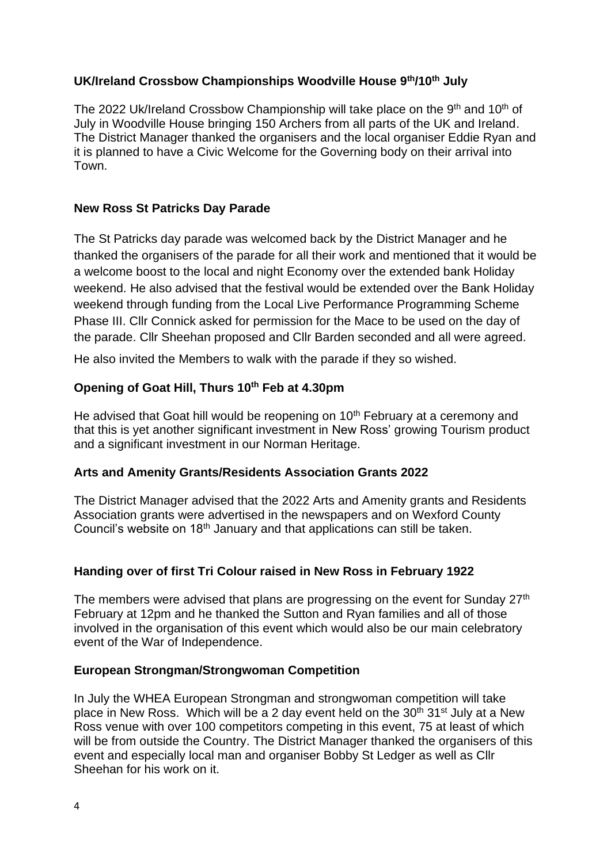# **UK/Ireland Crossbow Championships Woodville House 9th/10th July**

The 2022 Uk/Ireland Crossbow Championship will take place on the  $9<sup>th</sup>$  and 10<sup>th</sup> of July in Woodville House bringing 150 Archers from all parts of the UK and Ireland. The District Manager thanked the organisers and the local organiser Eddie Ryan and it is planned to have a Civic Welcome for the Governing body on their arrival into Town.

# **New Ross St Patricks Day Parade**

The St Patricks day parade was welcomed back by the District Manager and he thanked the organisers of the parade for all their work and mentioned that it would be a welcome boost to the local and night Economy over the extended bank Holiday weekend. He also advised that the festival would be extended over the Bank Holiday weekend through funding from the Local Live Performance Programming Scheme Phase III. Cllr Connick asked for permission for the Mace to be used on the day of the parade. Cllr Sheehan proposed and Cllr Barden seconded and all were agreed.

He also invited the Members to walk with the parade if they so wished.

# **Opening of Goat Hill, Thurs 10th Feb at 4.30pm**

He advised that Goat hill would be reopening on 10<sup>th</sup> February at a ceremony and that this is yet another significant investment in New Ross' growing Tourism product and a significant investment in our Norman Heritage.

# **Arts and Amenity Grants/Residents Association Grants 2022**

The District Manager advised that the 2022 Arts and Amenity grants and Residents Association grants were advertised in the newspapers and on Wexford County Council's website on 18<sup>th</sup> January and that applications can still be taken.

# **Handing over of first Tri Colour raised in New Ross in February 1922**

The members were advised that plans are progressing on the event for Sunday 27<sup>th</sup> February at 12pm and he thanked the Sutton and Ryan families and all of those involved in the organisation of this event which would also be our main celebratory event of the War of Independence.

# **European Strongman/Strongwoman Competition**

In July the WHEA European Strongman and strongwoman competition will take place in New Ross. Which will be a 2 day event held on the  $30<sup>th</sup> 31<sup>st</sup>$  July at a New Ross venue with over 100 competitors competing in this event, 75 at least of which will be from outside the Country. The District Manager thanked the organisers of this event and especially local man and organiser Bobby St Ledger as well as Cllr Sheehan for his work on it.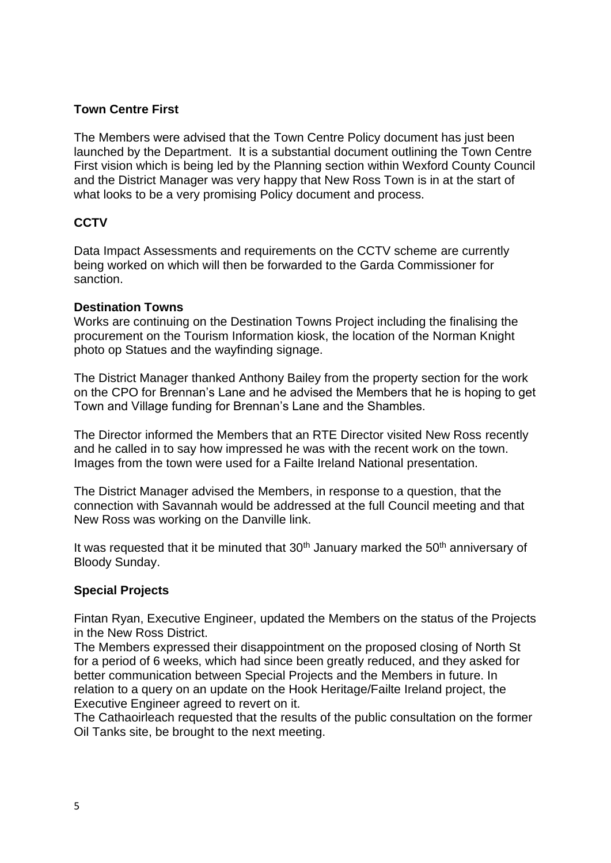## **Town Centre First**

The Members were advised that the Town Centre Policy document has just been launched by the Department. It is a substantial document outlining the Town Centre First vision which is being led by the Planning section within Wexford County Council and the District Manager was very happy that New Ross Town is in at the start of what looks to be a very promising Policy document and process.

# **CCTV**

Data Impact Assessments and requirements on the CCTV scheme are currently being worked on which will then be forwarded to the Garda Commissioner for sanction.

#### **Destination Towns**

Works are continuing on the Destination Towns Project including the finalising the procurement on the Tourism Information kiosk, the location of the Norman Knight photo op Statues and the wayfinding signage.

The District Manager thanked Anthony Bailey from the property section for the work on the CPO for Brennan's Lane and he advised the Members that he is hoping to get Town and Village funding for Brennan's Lane and the Shambles.

The Director informed the Members that an RTE Director visited New Ross recently and he called in to say how impressed he was with the recent work on the town. Images from the town were used for a Failte Ireland National presentation.

The District Manager advised the Members, in response to a question, that the connection with Savannah would be addressed at the full Council meeting and that New Ross was working on the Danville link.

It was requested that it be minuted that  $30<sup>th</sup>$  January marked the  $50<sup>th</sup>$  anniversary of Bloody Sunday.

#### **Special Projects**

Fintan Ryan, Executive Engineer, updated the Members on the status of the Projects in the New Ross District.

The Members expressed their disappointment on the proposed closing of North St for a period of 6 weeks, which had since been greatly reduced, and they asked for better communication between Special Projects and the Members in future. In relation to a query on an update on the Hook Heritage/Failte Ireland project, the Executive Engineer agreed to revert on it.

The Cathaoirleach requested that the results of the public consultation on the former Oil Tanks site, be brought to the next meeting.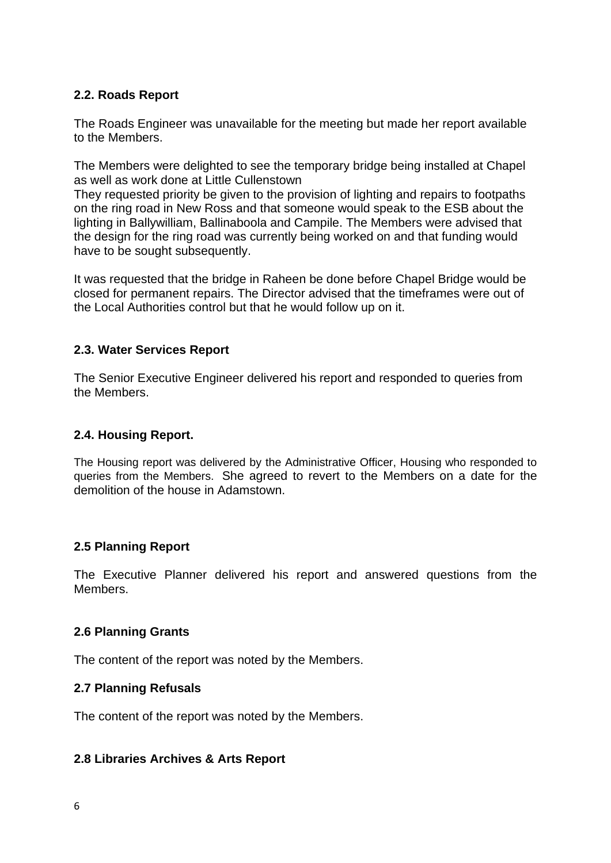# **2.2. Roads Report**

The Roads Engineer was unavailable for the meeting but made her report available to the Members.

The Members were delighted to see the temporary bridge being installed at Chapel as well as work done at Little Cullenstown

They requested priority be given to the provision of lighting and repairs to footpaths on the ring road in New Ross and that someone would speak to the ESB about the lighting in Ballywilliam, Ballinaboola and Campile. The Members were advised that the design for the ring road was currently being worked on and that funding would have to be sought subsequently.

It was requested that the bridge in Raheen be done before Chapel Bridge would be closed for permanent repairs. The Director advised that the timeframes were out of the Local Authorities control but that he would follow up on it.

## **2.3. Water Services Report**

The Senior Executive Engineer delivered his report and responded to queries from the Members.

# **2.4. Housing Report.**

The Housing report was delivered by the Administrative Officer, Housing who responded to queries from the Members. She agreed to revert to the Members on a date for the demolition of the house in Adamstown.

#### **2.5 Planning Report**

The Executive Planner delivered his report and answered questions from the Members.

#### **2.6 Planning Grants**

The content of the report was noted by the Members.

#### **2.7 Planning Refusals**

The content of the report was noted by the Members.

#### **2.8 Libraries Archives & Arts Report**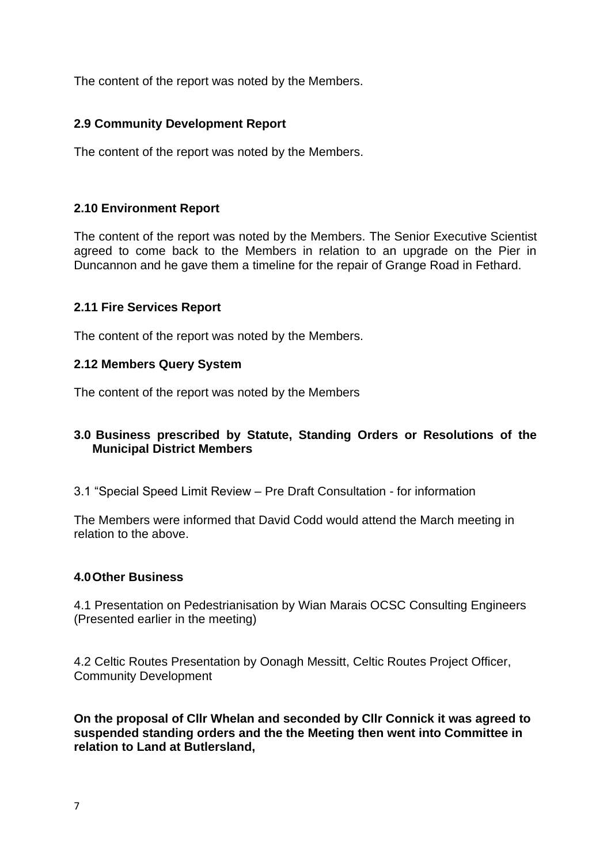The content of the report was noted by the Members.

# **2.9 Community Development Report**

The content of the report was noted by the Members.

# **2.10 Environment Report**

The content of the report was noted by the Members. The Senior Executive Scientist agreed to come back to the Members in relation to an upgrade on the Pier in Duncannon and he gave them a timeline for the repair of Grange Road in Fethard.

## **2.11 Fire Services Report**

The content of the report was noted by the Members.

#### **2.12 Members Query System**

The content of the report was noted by the Members

# **3.0 Business prescribed by Statute, Standing Orders or Resolutions of the Municipal District Members**

3.1 "Special Speed Limit Review – Pre Draft Consultation - for information

The Members were informed that David Codd would attend the March meeting in relation to the above.

#### **4.0Other Business**

4.1 Presentation on Pedestrianisation by Wian Marais OCSC Consulting Engineers (Presented earlier in the meeting)

4.2 Celtic Routes Presentation by Oonagh Messitt, Celtic Routes Project Officer, Community Development

**On the proposal of Cllr Whelan and seconded by Cllr Connick it was agreed to suspended standing orders and the the Meeting then went into Committee in relation to Land at Butlersland,**